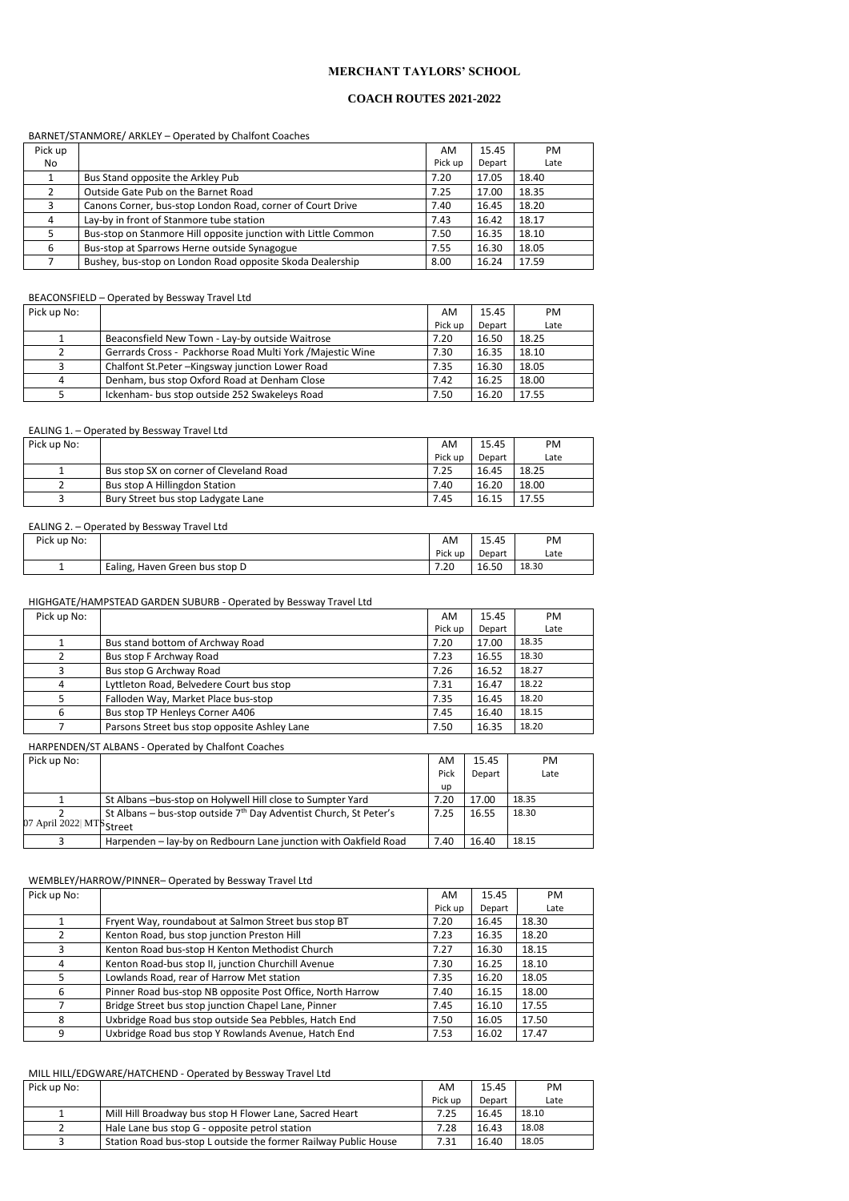## **MERCHANT TAYLORS' SCHOOL**

## **COACH ROUTES 2021-2022**

### BARNET/STANMORE/ ARKLEY – Operated by Chalfont Coaches

| Pick up |                                                                | AM      | 15.45  | <b>PM</b> |
|---------|----------------------------------------------------------------|---------|--------|-----------|
| No      |                                                                | Pick up | Depart | Late      |
|         | Bus Stand opposite the Arkley Pub                              | 7.20    | 17.05  | 18.40     |
|         | Outside Gate Pub on the Barnet Road                            | 7.25    | 17.00  | 18.35     |
| 3       | Canons Corner, bus-stop London Road, corner of Court Drive     | 7.40    | 16.45  | 18.20     |
| 4       | Lay-by in front of Stanmore tube station                       | 7.43    | 16.42  | 18.17     |
|         | Bus-stop on Stanmore Hill opposite junction with Little Common | 7.50    | 16.35  | 18.10     |
| 6       | Bus-stop at Sparrows Herne outside Synagogue                   | 7.55    | 16.30  | 18.05     |
|         | Bushey, bus-stop on London Road opposite Skoda Dealership      | 8.00    | 16.24  | 17.59     |

## BEACONSFIELD – Operated by Bessway Travel Ltd

| Pick up No: |                                                            | AM      | 15.45  | PM.   |
|-------------|------------------------------------------------------------|---------|--------|-------|
|             |                                                            | Pick up | Depart | Late  |
|             | Beaconsfield New Town - Lay-by outside Waitrose            | 7.20    | 16.50  | 18.25 |
|             | Gerrards Cross - Packhorse Road Multi York / Majestic Wine | 7.30    | 16.35  | 18.10 |
|             | Chalfont St.Peter - Kingsway junction Lower Road           | 7.35    | 16.30  | 18.05 |
| Δ           | Denham, bus stop Oxford Road at Denham Close               | 7.42    | 16.25  | 18.00 |
|             | Ickenham- bus stop outside 252 Swakeleys Road              | 7.50    | 16.20  | 17.55 |

#### EALING 1. – Operated by Bessway Travel Ltd

| Pick up No:               |                                                                     | AM   | 15.45  | PM    |
|---------------------------|---------------------------------------------------------------------|------|--------|-------|
|                           |                                                                     | Pick | Depart | Late  |
|                           |                                                                     | up   |        |       |
|                           | St Albans -bus-stop on Holywell Hill close to Sumpter Yard          | 7.20 | 17.00  | 18.35 |
|                           | St Albans – bus-stop outside $7th$ Day Adventist Church, St Peter's | 7.25 | 16.55  | 18.30 |
| 07 April 2022  MTS Street |                                                                     |      |        |       |
|                           | Harpenden – lay-by on Redbourn Lane junction with Oakfield Road     | 7.40 | 16.40  | 18.15 |

| Pick up No: |                                         | AM      | 15.45  | PM.   |
|-------------|-----------------------------------------|---------|--------|-------|
|             |                                         | Pick up | Depart | Late  |
|             | Bus stop SX on corner of Cleveland Road | 7.25    | 16.45  | 18.25 |
|             | Bus stop A Hillingdon Station           | 7.40    | 16.20  | 18.00 |
|             | Bury Street bus stop Ladygate Lane      | 7.45    | 16.15  | 17.55 |

#### EALING 2. – Operated by Bessway Travel Ltd

| Pick up No: |                                | AM      | 15.45  | PM    |
|-------------|--------------------------------|---------|--------|-------|
|             |                                | Pick up | Depart | Late  |
| --          | Ealing, Haven Green bus stop D | 7.20    | 16.50  | 18.30 |

#### HIGHGATE/HAMPSTEAD GARDEN SUBURB - Operated by Bessway Travel Ltd

| Pick up No: |                                              | AM.     | 15.45  | PM    |
|-------------|----------------------------------------------|---------|--------|-------|
|             |                                              | Pick up | Depart | Late  |
|             | Bus stand bottom of Archway Road             | 7.20    | 17.00  | 18.35 |
|             | Bus stop F Archway Road                      | 7.23    | 16.55  | 18.30 |
|             | Bus stop G Archway Road                      | 7.26    | 16.52  | 18.27 |
| 4           | Lyttleton Road, Belvedere Court bus stop     | 7.31    | 16.47  | 18.22 |
|             | Falloden Way, Market Place bus-stop          | 7.35    | 16.45  | 18.20 |
| 6           | Bus stop TP Henleys Corner A406              | 7.45    | 16.40  | 18.15 |
|             | Parsons Street bus stop opposite Ashley Lane | 7.50    | 16.35  | 18.20 |

## HARPENDEN/ST ALBANS - Operated by Chalfont Coaches

## WEMBLEY/HARROW/PINNER– Operated by Bessway Travel Ltd

| Pick up No: |  | AM        | $\overline{\phantom{0}}$<br>15.45 | PM |  |
|-------------|--|-----------|-----------------------------------|----|--|
|             |  | Dialector | $\sim$ $\sim$                     | .  |  |

|   |                                                            | Pick up | Depart | Late  |
|---|------------------------------------------------------------|---------|--------|-------|
|   | Fryent Way, roundabout at Salmon Street bus stop BT        | 7.20    | 16.45  | 18.30 |
|   | Kenton Road, bus stop junction Preston Hill                | 7.23    | 16.35  | 18.20 |
|   | Kenton Road bus-stop H Kenton Methodist Church             | 7.27    | 16.30  | 18.15 |
| 4 | Kenton Road-bus stop II, junction Churchill Avenue         | 7.30    | 16.25  | 18.10 |
|   | Lowlands Road, rear of Harrow Met station                  | 7.35    | 16.20  | 18.05 |
| 6 | Pinner Road bus-stop NB opposite Post Office, North Harrow | 7.40    | 16.15  | 18.00 |
|   | Bridge Street bus stop junction Chapel Lane, Pinner        | 7.45    | 16.10  | 17.55 |
| 8 | Uxbridge Road bus stop outside Sea Pebbles, Hatch End      | 7.50    | 16.05  | 17.50 |
| 9 | Uxbridge Road bus stop Y Rowlands Avenue, Hatch End        | 7.53    | 16.02  | 17.47 |

#### MILL HILL/EDGWARE/HATCHEND - Operated by Bessway Travel Ltd

| Pick up No: |                                                                 | AM      | 15.45  | PM.   |
|-------------|-----------------------------------------------------------------|---------|--------|-------|
|             |                                                                 | Pick up | Depart | Late  |
|             | Mill Hill Broadway bus stop H Flower Lane, Sacred Heart         | 7.25    | 16.45  | 18.10 |
|             | Hale Lane bus stop G - opposite petrol station                  | 7.28    | 16.43  | 18.08 |
|             | Station Road bus-stop L outside the former Railway Public House | 7.31    | 16.40  | 18.05 |